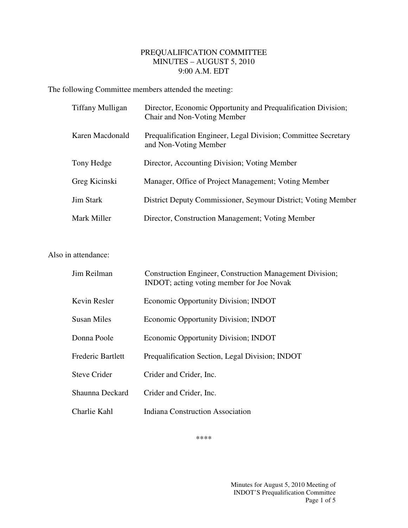## PREQUALIFICATION COMMITTEE MINUTES – AUGUST 5, 2010 9:00 A.M. EDT

The following Committee members attended the meeting:

| Tiffany Mulligan | Director, Economic Opportunity and Prequalification Division;<br>Chair and Non-Voting Member |
|------------------|----------------------------------------------------------------------------------------------|
| Karen Macdonald  | Prequalification Engineer, Legal Division; Committee Secretary<br>and Non-Voting Member      |
| Tony Hedge       | Director, Accounting Division; Voting Member                                                 |
| Greg Kicinski    | Manager, Office of Project Management; Voting Member                                         |
| Jim Stark        | District Deputy Commissioner, Seymour District; Voting Member                                |
| Mark Miller      | Director, Construction Management; Voting Member                                             |

## Also in attendance:

| Jim Reilman              | <b>Construction Engineer, Construction Management Division;</b><br>INDOT; acting voting member for Joe Novak |
|--------------------------|--------------------------------------------------------------------------------------------------------------|
| Kevin Resler             | Economic Opportunity Division; INDOT                                                                         |
| <b>Susan Miles</b>       | Economic Opportunity Division; INDOT                                                                         |
| Donna Poole              | Economic Opportunity Division; INDOT                                                                         |
| <b>Frederic Bartlett</b> | Prequalification Section, Legal Division; INDOT                                                              |
| <b>Steve Crider</b>      | Crider and Crider, Inc.                                                                                      |
| Shaunna Deckard          | Crider and Crider, Inc.                                                                                      |
| Charlie Kahl             | <b>Indiana Construction Association</b>                                                                      |

\*\*\*\*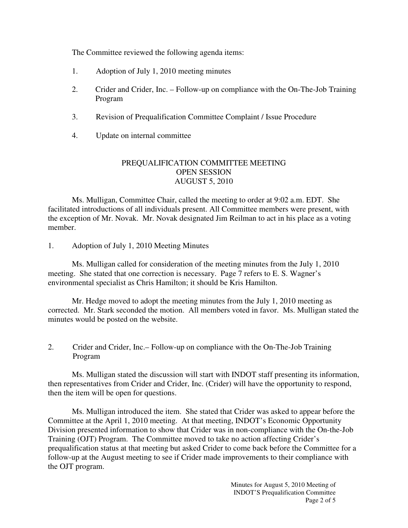The Committee reviewed the following agenda items:

- 1. Adoption of July 1, 2010 meeting minutes
- 2. Crider and Crider, Inc. Follow-up on compliance with the On-The-Job Training Program
- 3. Revision of Prequalification Committee Complaint / Issue Procedure
- 4. Update on internal committee

## PREQUALIFICATION COMMITTEE MEETING OPEN SESSION AUGUST 5, 2010

 Ms. Mulligan, Committee Chair, called the meeting to order at 9:02 a.m. EDT. She facilitated introductions of all individuals present. All Committee members were present, with the exception of Mr. Novak. Mr. Novak designated Jim Reilman to act in his place as a voting member.

1. Adoption of July 1, 2010 Meeting Minutes

 Ms. Mulligan called for consideration of the meeting minutes from the July 1, 2010 meeting. She stated that one correction is necessary. Page 7 refers to E. S. Wagner's environmental specialist as Chris Hamilton; it should be Kris Hamilton.

 Mr. Hedge moved to adopt the meeting minutes from the July 1, 2010 meeting as corrected. Mr. Stark seconded the motion. All members voted in favor. Ms. Mulligan stated the minutes would be posted on the website.

2. Crider and Crider, Inc.– Follow-up on compliance with the On-The-Job Training Program

Ms. Mulligan stated the discussion will start with INDOT staff presenting its information, then representatives from Crider and Crider, Inc. (Crider) will have the opportunity to respond, then the item will be open for questions.

Ms. Mulligan introduced the item. She stated that Crider was asked to appear before the Committee at the April 1, 2010 meeting. At that meeting, INDOT's Economic Opportunity Division presented information to show that Crider was in non-compliance with the On-the-Job Training (OJT) Program. The Committee moved to take no action affecting Crider's prequalification status at that meeting but asked Crider to come back before the Committee for a follow-up at the August meeting to see if Crider made improvements to their compliance with the OJT program.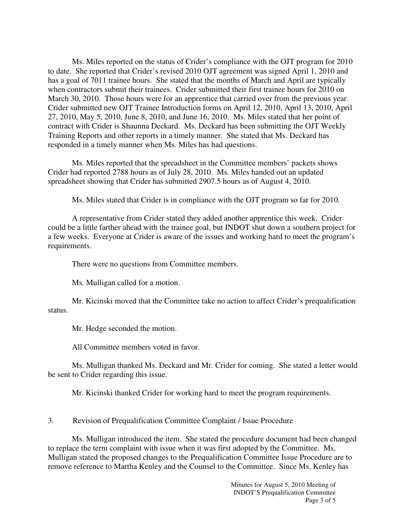Ms. Miles reported on the status of Crider's compliance with the OJT program for 2010 to date. She reported that Crider's revised 2010 OJT agreement was signed April 1, 2010 and has a goal of 7011 trainee hours. She stated that the months of March and April are typically when contractors submit their trainees. Crider submitted their first trainee hours for 2010 on March 30, 2010. Those hours were for an apprentice that carried over from the previous year. Crider submitted new OJT Trainee Introduction forms on April 12, 2010, April 13, 2010, April 27, 2010, May 5, 2010, June 8, 2010, and June 16, 2010. Ms. Miles stated that her point of contract with Crider is Shaunna Deckard. Ms. Deckard has been submitting the OJT Weekly Training Reports and other reports in a timely manner. She stated that Ms. Deckard has responded in a timely manner when Ms. Miles has had questions.

Ms. Miles reported that the spreadsheet in the Committee members' packets shows Crider had reported 2788 hours as of July 28, 2010. Ms. Miles handed out an updated spreadsheet showing that Crider has submitted 2907.5 hours as of August 4, 2010.

Ms. Miles stated that Crider is in compliance with the OJT program so far for 2010.

A representative from Crider stated they added another apprentice this week. Crider could be a little farther ahead with the trainee goal, but INDOT shut down a southern project for a few weeks. Everyone at Crider is aware of the issues and working hard to meet the program's requirements.

There were no questions from Committee members.

Ms. Mulligan called for a motion.

Mr. Kicinski moved that the Committee take no action to affect Crider's prequalification status.

Mr. Hedge seconded the motion.

All Committee members voted in favor.

Ms. Mulligan thanked Ms. Deckard and Mr. Crider for coming. She stated a letter would be sent to Crider regarding this issue.

Mr. Kicinski thanked Crider for working hard to meet the program requirements.

3. Revision of Prequalification Committee Complaint / Issue Procedure

Ms. Mulligan introduced the item. She stated the procedure document had been changed to replace the term complaint with issue when it was first adopted by the Committee. Ms. Mulligan stated the proposed changes to the Prequalification Committee Issue Procedure are to remove reference to Martha Kenley and the Counsel to the Committee. Since Ms. Kenley has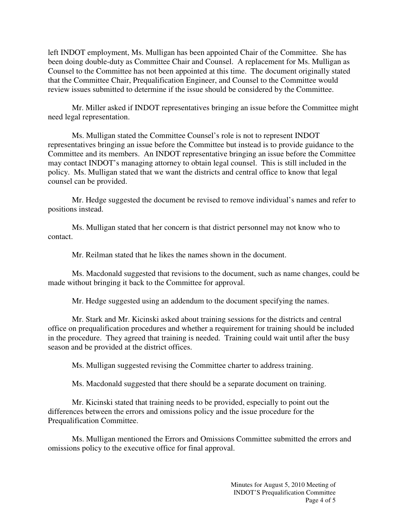left INDOT employment, Ms. Mulligan has been appointed Chair of the Committee. She has been doing double-duty as Committee Chair and Counsel. A replacement for Ms. Mulligan as Counsel to the Committee has not been appointed at this time. The document originally stated that the Committee Chair, Prequalification Engineer, and Counsel to the Committee would review issues submitted to determine if the issue should be considered by the Committee.

Mr. Miller asked if INDOT representatives bringing an issue before the Committee might need legal representation.

Ms. Mulligan stated the Committee Counsel's role is not to represent INDOT representatives bringing an issue before the Committee but instead is to provide guidance to the Committee and its members. An INDOT representative bringing an issue before the Committee may contact INDOT's managing attorney to obtain legal counsel. This is still included in the policy. Ms. Mulligan stated that we want the districts and central office to know that legal counsel can be provided.

Mr. Hedge suggested the document be revised to remove individual's names and refer to positions instead.

Ms. Mulligan stated that her concern is that district personnel may not know who to contact.

Mr. Reilman stated that he likes the names shown in the document.

Ms. Macdonald suggested that revisions to the document, such as name changes, could be made without bringing it back to the Committee for approval.

Mr. Hedge suggested using an addendum to the document specifying the names.

Mr. Stark and Mr. Kicinski asked about training sessions for the districts and central office on prequalification procedures and whether a requirement for training should be included in the procedure. They agreed that training is needed. Training could wait until after the busy season and be provided at the district offices.

Ms. Mulligan suggested revising the Committee charter to address training.

Ms. Macdonald suggested that there should be a separate document on training.

Mr. Kicinski stated that training needs to be provided, especially to point out the differences between the errors and omissions policy and the issue procedure for the Prequalification Committee.

Ms. Mulligan mentioned the Errors and Omissions Committee submitted the errors and omissions policy to the executive office for final approval.